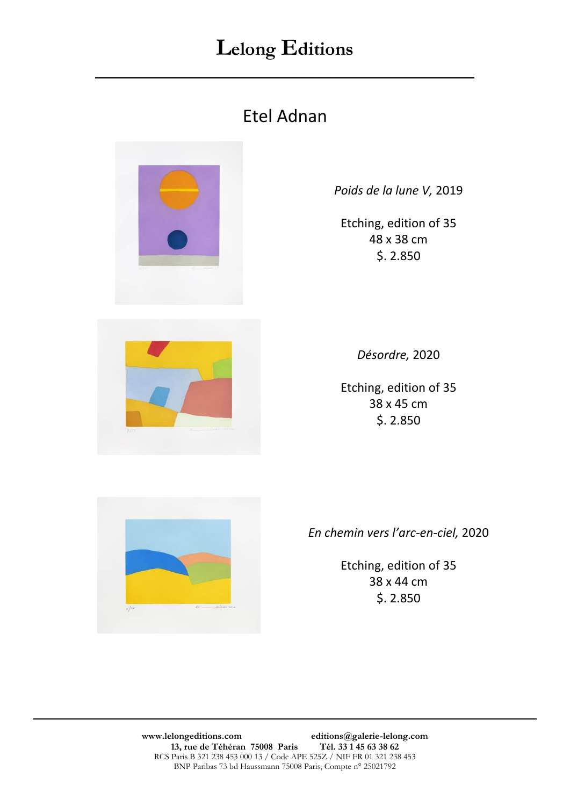$\overline{\phantom{a}}$  , and the contract of the contract of the contract of the contract of the contract of the contract of the contract of the contract of the contract of the contract of the contract of the contract of the contrac

#### Etel Adnan



*Poids de la lune V,* 2019

Etching, edition of 35 48 x 38 cm \$. 2.850



*Désordre,* 2020

Etching, edition of 35 38 x 45 cm \$. 2.850



*En chemin vers l'arc-en-ciel,* 2020

Etching, edition of 35 38 x 44 cm \$. 2.850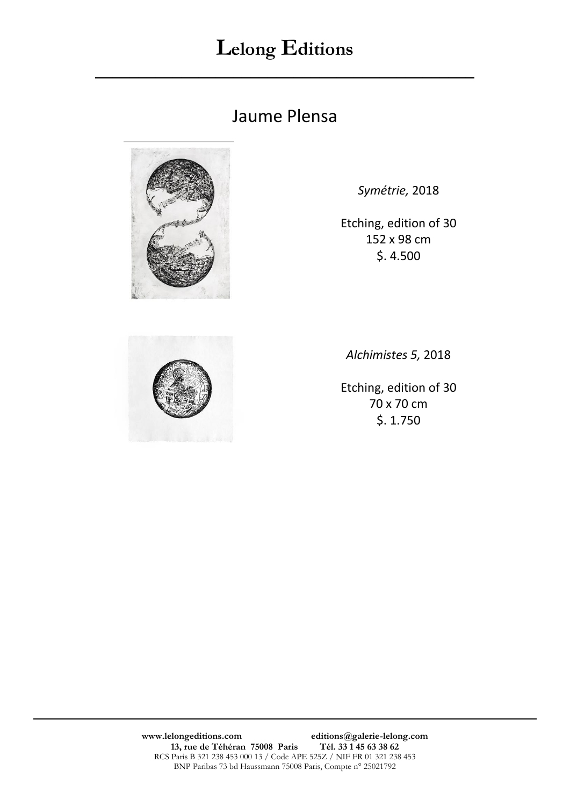$\overline{\phantom{a}}$  , and the contract of the contract of the contract of the contract of the contract of the contract of the contract of the contract of the contract of the contract of the contract of the contract of the contrac

#### Jaume Plensa



*Symétrie,* 2018

Etching, edition of 30 152 x 98 cm \$. 4.500



*Alchimistes 5,* 2018

Etching, edition of 30 70 x 70 cm \$. 1.750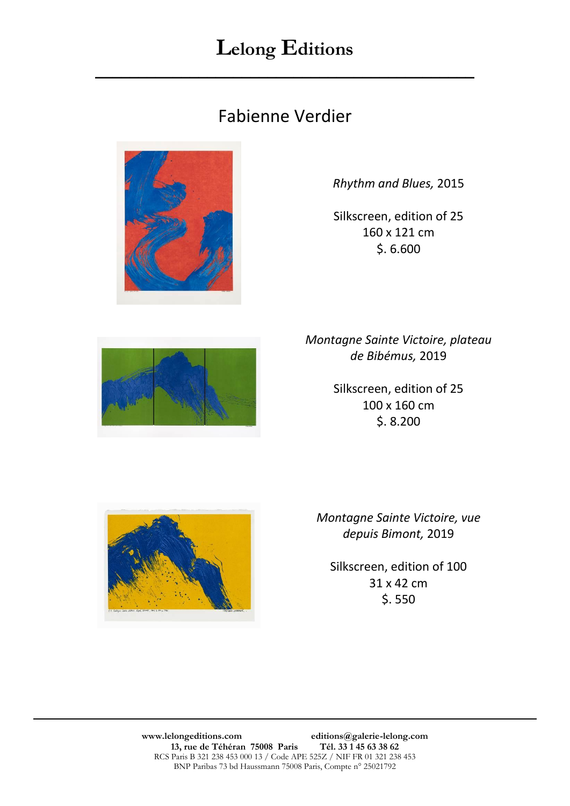$\overline{\phantom{a}}$  , and the contract of the contract of the contract of the contract of the contract of the contract of the contract of the contract of the contract of the contract of the contract of the contract of the contrac

#### Fabienne Verdier



*Rhythm and Blues,* 2015

Silkscreen, edition of 25 160 x 121 cm \$. 6.600



*Montagne Sainte Victoire, plateau de Bibémus,* 2019

> Silkscreen, edition of 25 100 x 160 cm \$. 8.200



*Montagne Sainte Victoire, vue depuis Bimont,* 2019

Silkscreen, edition of 100 31 x 42 cm \$. 550

**www.lelongeditions.com editions@galerie-lelong.com 13, rue de Téhéran 75008 Paris Tél. 33 1 45 63 38 62**  RCS Paris B 321 238 453 000 13 / Code APE 525Z / NIF FR 01 321 238 453 BNP Paribas 73 bd Haussmann 75008 Paris, Compte n° 25021792